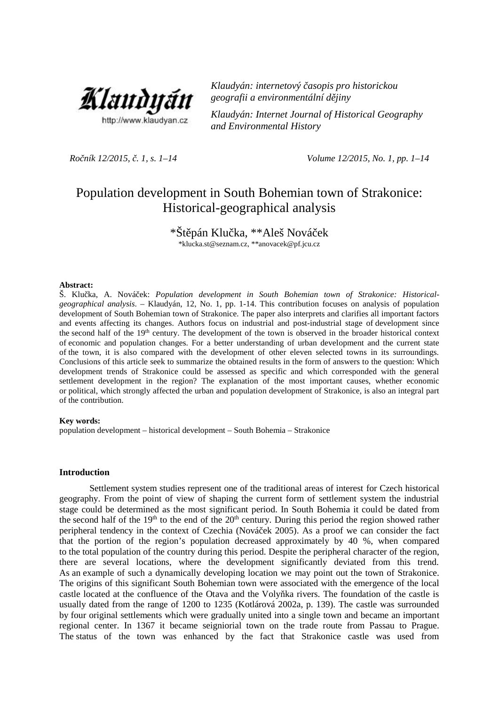

*Klaudyán: internetový časopis pro historickou geografii a environmentální dějiny*

*Klaudyán: Internet Journal of Historical Geography and Environmental History*

*Ročník 12/2015, č. 1, s. 1–14 Volume 12/2015, No. 1, pp. 1–14*

# Population development in South Bohemian town of Strakonice: Historical-geographical analysis

\*Št pán Klu ka, \*\*Aleš Nová ek

\*klucka.st@seznam.cz, \*\*anovacek@pf.jcu.cz

#### **Abstract:**

Š. Klučka, A. Nováček: *Population development in South Bohemian town of Strakonice: Historical geographical analysis*. – Klaudyán, 12, No. 1, pp. 1-14. This contribution focuses on analysis of population development of South Bohemian town of Strakonice. The paper also interprets and clarifies all important factors and events affecting its changes. Authors focus on industrial and post-industrial stage of development since the second half of the 19<sup>th</sup> century. The development of the town is observed in the broader historical context of economic and population changes. For a better understanding of urban development and the current state of the town, it is also compared with the development of other eleven selected towns in its surroundings. Conclusions of this article seek to summarize the obtained results in the form of answers to the question: Which development trends of Strakonice could be assessed as specific and which corresponded with the general settlement development in the region? The explanation of the most important causes, whether economic or political, which strongly affected the urban and population development of Strakonice, is also an integral part of the contribution.

### **Key words:**

population development – historical development – South Bohemia – Strakonice

### **Introduction**

Settlement system studies represent one of the traditional areas of interest for Czech historical geography. From the point of view of shaping the current form of settlement system the industrial stage could be determined as the most significant period. In South Bohemia it could be dated from the second half of the  $19<sup>th</sup>$  to the end of the  $20<sup>th</sup>$  century. During this period the region showed rather peripheral tendency in the context of Czechia (Nová ek 2005). As a proof we can consider the fact that the portion of the region's population decreased approximately by 40 %, when compared to the total population of the country during this period. Despite the peripheral character of the region, there are several locations, where the development significantly deviated from this trend. As an example of such a dynamically developing location we may point out the town of Strakonice. The origins of this significant South Bohemian town were associated with the emergence of the local castle located at the confluence of the Otava and the Voly ka rivers. The foundation of the castle is usually dated from the range of 1200 to 1235 (Kotlárová 2002a, p. 139). The castle was surrounded by four original settlements which were gradually united into a single town and became an important regional center. In 1367 it became seigniorial town on the trade route from Passau to Prague. The status of the town was enhanced by the fact that Strakonice castle was used from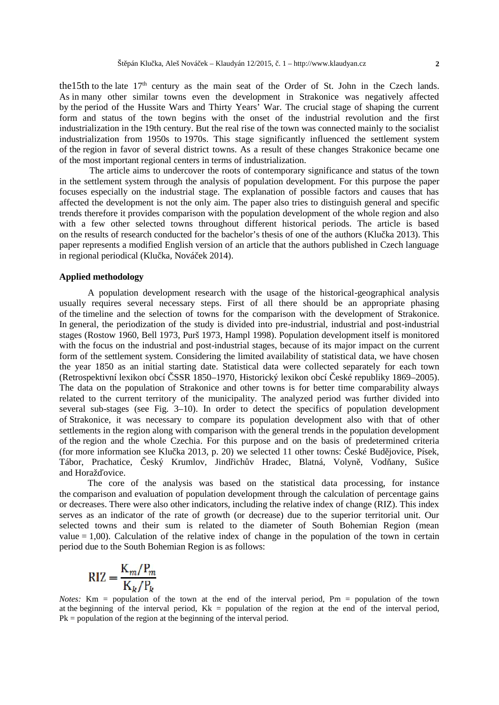the15th to the late 17<sup>th</sup> century as the main seat of the Order of St. John in the Czech lands. As in many other similar towns even the development in Strakonice was negatively affected by the period of the Hussite Wars and Thirty Years' War. The crucial stage of shaping the current form and status of the town begins with the onset of the industrial revolution and the first industrialization in the 19th century. But the real rise of the town was connected mainly to the socialist industrialization from 1950s to 1970s. This stage significantly influenced the settlement system of the region in favor of several district towns. As a result of these changes Strakonice became one of the most important regional centers in terms of industrialization.

The article aims to undercover the roots of contemporary significance and status of the town in the settlement system through the analysis of population development. For this purpose the paper focuses especially on the industrial stage. The explanation of possible factors and causes that has affected the development is not the only aim. The paper also tries to distinguish general and specific trends therefore it provides comparison with the population development of the whole region and also with a few other selected towns throughout different historical periods. The article is based on the results of research conducted for the bachelor's thesis of one of the authors (Klu ka 2013). This paper represents a modified English version of an article that the authors published in Czech language in regional periodical (Klu ka, Nová ek 2014).

### **Applied methodology**

A population development research with the usage of the historical-geographical analysis usually requires several necessary steps. First of all there should be an appropriate phasing of the timeline and the selection of towns for the comparison with the development of Strakonice. In general, the periodization of the study is divided into pre-industrial, industrial and post-industrial stages (Rostow 1960, Bell 1973, Purš 1973, Hampl 1998). Population development itself is monitored with the focus on the industrial and post-industrial stages, because of its major impact on the current form of the settlement system. Considering the limited availability of statistical data, we have chosen the year 1850 as an initial starting date. Statistical data were collected separately for each town (Retrospektivní lexikon obcí SSR 1850–1970, Historický lexikon obcí eské republiky 1869–2005). The data on the population of Strakonice and other towns is for better time comparability always related to the current territory of the municipality. The analyzed period was further divided into several sub-stages (see Fig. 3–10). In order to detect the specifics of population development of Strakonice, it was necessary to compare its population development also with that of other settlements in the region along with comparison with the general trends in the population development of the region and the whole Czechia. For this purpose and on the basis of predetermined criteria (for more information see Klu ka 2013, p. 20) we selected 11 other towns: eské Bud jovice, Písek, Tábor, Prachatice, eský Krumlov, Jindřich v Hradec, Blatná, Volyn, Vodány, Sušice and Horaž ovice.

The core of the analysis was based on the statistical data processing, for instance the comparison and evaluation of population development through the calculation of percentage gains or decreases. There were also other indicators, including the relative index of change (RIZ). This index serves as an indicator of the rate of growth (or decrease) due to the superior territorial unit. Our selected towns and their sum is related to the diameter of South Bohemian Region (mean value  $= 1,00$ ). Calculation of the relative index of change in the population of the town in certain period due to the South Bohemian Region is as follows:

$$
RIZ = \frac{K_m/P_m}{K_k/P_k}
$$

*Notes:* Km = population of the town at the end of the interval period, Pm = population of the town at the beginning of the interval period,  $Kk =$  population of the region at the end of the interval period, Pk = population of the region at the beginning of the interval period.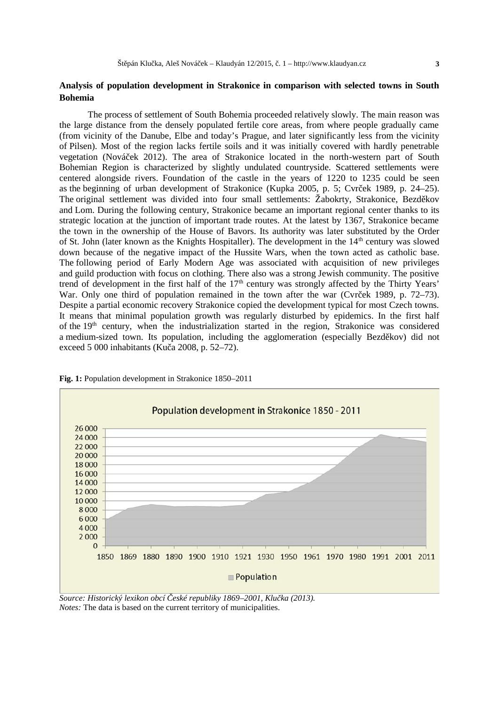# **Analysis of population development in Strakonice in comparison with selected towns in South Bohemia**

The process of settlement of South Bohemia proceeded relatively slowly. The main reason was the large distance from the densely populated fertile core areas, from where people gradually came (from vicinity of the Danube, Elbe and today's Prague, and later significantly less from the vicinity of Pilsen). Most of the region lacks fertile soils and it was initially covered with hardly penetrable vegetation (Nováček 2012). The area of Strakonice located in the north-western part of South Bohemian Region is characterized by slightly undulated countryside. Scattered settlements were centered alongside rivers. Foundation of the castle in the years of 1220 to 1235 could be seen as the beginning of urban development of Strakonice (Kupka 2005, p. 5; Cvr ek 1989, p. 24–25). The original settlement was divided into four small settlements: Žabokrty, Strakonice, Bezd kov and Lom. During the following century, Strakonice became an important regional center thanks to its strategic location at the junction of important trade routes. At the latest by 1367, Strakonice became the town in the ownership of the House of Bavors. Its authority was later substituted by the Order of St. John (later known as the Knights Hospitaller). The development in the 14<sup>th</sup> century was slowed down because of the negative impact of the Hussite Wars, when the town acted as catholic base. The following period of Early Modern Age was associated with acquisition of new privileges and guild production with focus on clothing. There also was a strong Jewish community. The positive trend of development in the first half of the  $17<sup>th</sup>$  century was strongly affected by the Thirty Years' War. Only one third of population remained in the town after the war (Cvr ek 1989, p. 72–73). Despite a partial economic recovery Strakonice copied the development typical for most Czech towns. It means that minimal population growth was regularly disturbed by epidemics. In the first half of the 19th century, when the industrialization started in the region, Strakonice was considered a medium-sized town. Its population, including the agglomeration (especially Bezděkov) did not exceed 5 000 inhabitants (Ku $a$  2008, p. 52–72).



**Fig. 1:** Population development in Strakonice 1850–2011

*Source: Historický lexikon obcí eské republiky 1869–2001, Klu ka (2013). Notes:* The data is based on the current territory of municipalities.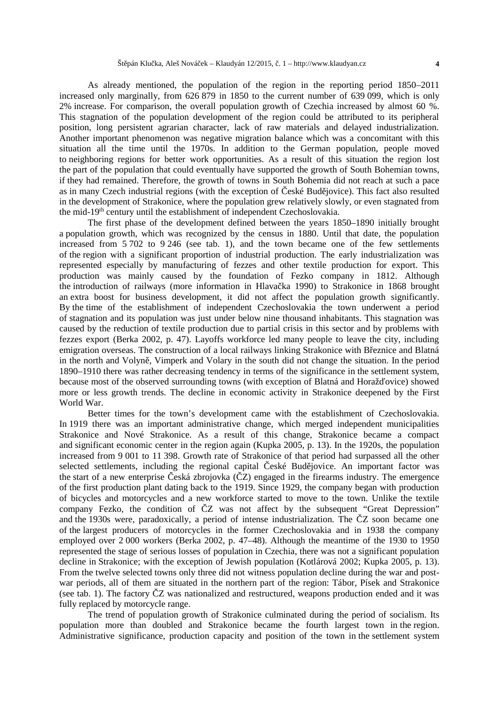As already mentioned, the population of the region in the reporting period 1850–2011 increased only marginally, from 626 879 in 1850 to the current number of 639 099, which is only 2% increase. For comparison, the overall population growth of Czechia increased by almost 60 %. This stagnation of the population development of the region could be attributed to its peripheral position, long persistent agrarian character, lack of raw materials and delayed industrialization. Another important phenomenon was negative migration balance which was a concomitant with this situation all the time until the 1970s. In addition to the German population, people moved to neighboring regions for better work opportunities. As a result of this situation the region lost the part of the population that could eventually have supported the growth of South Bohemian towns, if they had remained. Therefore, the growth of towns in South Bohemia did not reach at such a pace as in many Czech industrial regions (with the exception of eské Bud jovice). This fact also resulted in the development of Strakonice, where the population grew relatively slowly, or even stagnated from the mid-19th century until the establishment of independent Czechoslovakia.

The first phase of the development defined between the years 1850–1890 initially brought a population growth, which was recognized by the census in 1880. Until that date, the population increased from 5 702 to 9 246 (see tab. 1), and the town became one of the few settlements of the region with a significant proportion of industrial production. The early industrialization was represented especially by manufacturing of fezzes and other textile production for export. This production was mainly caused by the foundation of Fezko company in 1812. Although the introduction of railways (more information in Hlava ka 1990) to Strakonice in 1868 brought an extra boost for business development, it did not affect the population growth significantly. By the time of the establishment of independent Czechoslovakia the town underwent a period of stagnation and its population was just under below nine thousand inhabitants. This stagnation was caused by the reduction of textile production due to partial crisis in this sector and by problems with fezzes export (Berka 2002, p. 47). Layoffs workforce led many people to leave the city, including emigration overseas. The construction of a local railways linking Strakonice with B eznice and Blatná in the north and Volyn, Vimperk and Volary in the south did not change the situation. In the period 1890–1910 there was rather decreasing tendency in terms of the significance in the settlement system, because most of the observed surrounding towns (with exception of Blatná and Horaž ovice) showed more or less growth trends. The decline in economic activity in Strakonice deepened by the First World War.

Better times for the town's development came with the establishment of Czechoslovakia. In 1919 there was an important administrative change, which merged independent municipalities Strakonice and Nové Strakonice. As a result of this change, Strakonice became a compact and significant economic center in the region again (Kupka 2005, p. 13). In the 1920s, the population increased from 9 001 to 11 398. Growth rate of Strakonice of that period had surpassed all the other selected settlements, including the regional capital eské Bud jovice. An important factor was the start of a new enterprise eská zbrojovka ( $Z$ ) engaged in the firearms industry. The emergence of the first production plant dating back to the 1919. Since 1929, the company began with production of bicycles and motorcycles and a new workforce started to move to the town. Unlike the textile company Fezko, the condition of Z was not affect by the subsequent "Great Depression" and the 1930s were, paradoxically, a period of intense industrialization. The  $Z$  soon became one of the largest producers of motorcycles in the former Czechoslovakia and in 1938 the company employed over 2 000 workers (Berka 2002, p. 47–48). Although the meantime of the 1930 to 1950 represented the stage of serious losses of population in Czechia, there was not a significant population decline in Strakonice; with the exception of Jewish population (Kotlárová 2002; Kupka 2005, p. 13). From the twelve selected towns only three did not witness population decline during the war and post war periods, all of them are situated in the northern part of the region: Tábor, Písek and Strakonice (see tab. 1). The factory  $Z$  was nationalized and restructured, weapons production ended and it was fully replaced by motorcycle range.

The trend of population growth of Strakonice culminated during the period of socialism. Its population more than doubled and Strakonice became the fourth largest town in the region. Administrative significance, production capacity and position of the town in the settlement system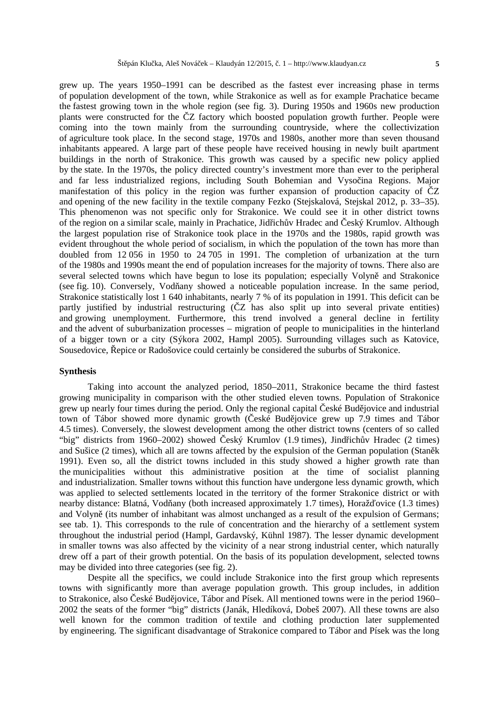grew up. The years 1950–1991 can be described as the fastest ever increasing phase in terms of population development of the town, while Strakonice as well as for example Prachatice became the fastest growing town in the whole region (see fig. 3). During 1950s and 1960s new production plants were constructed for the Z factory which boosted population growth further. People were coming into the town mainly from the surrounding countryside, where the collectivization of agriculture took place. In the second stage, 1970s and 1980s, another more than seven thousand inhabitants appeared. A large part of these people have received housing in newly built apartment buildings in the north of Strakonice. This growth was caused by a specific new policy applied by the state. In the 1970s, the policy directed country's investment more than ever to the peripheral and far less industrialized regions, including South Bohemian and Vysočina Regions. Major manifestation of this policy in the region was further expansion of production capacity of  $Z$ and opening of the new facility in the textile company Fezko (Stejskalová, Stejskal 2012, p. 33–35). This phenomenon was not specific only for Strakonice. We could see it in other district towns of the region on a similar scale, mainly in Prachatice, Jid ich v Hradec and eský Krumlov. Although the largest population rise of Strakonice took place in the 1970s and the 1980s, rapid growth was evident throughout the whole period of socialism, in which the population of the town has more than doubled from 12 056 in 1950 to 24 705 in 1991. The completion of urbanization at the turn of the 1980s and 1990s meant the end of population increases for the majority of towns. There also are several selected towns which have begun to lose its population; especially Volyn and Strakonice (see fig.  $10$ ). Conversely, Vod any showed a noticeable population increase. In the same period, Strakonice statistically lost 1 640 inhabitants, nearly 7 % of its population in 1991. This deficit can be partly justified by industrial restructuring  $(Z$  has also split up into several private entities) and growing unemployment. Furthermore, this trend involved a general decline in fertility and the advent of suburbanization processes – migration of people to municipalities in the hinterland of a bigger town or a city (Sýkora 2002, Hampl 2005). Surrounding villages such as Katovice, Sousedovice, epice or Radošovice could certainly be considered the suburbs of Strakonice.

### **Synthesis**

Taking into account the analyzed period, 1850–2011, Strakonice became the third fastest growing municipality in comparison with the other studied eleven towns. Population of Strakonice grew up nearly four times during the period. Only the regional capital eské Bud jovice and industrial town of Tábor showed more dynamic growth (eské Bud jovice grew up 7.9 times and Tábor 4.5 times). Conversely, the slowest development among the other district towns (centers of so called "big" districts from 1960–2002) showed eský Krumlov (1.9 times), Jind ich v Hradec (2 times) and Sušice (2 times), which all are towns affected by the expulsion of the German population (Stan k 1991). Even so, all the district towns included in this study showed a higher growth rate than the municipalities without this administrative position at the time of socialist planning and industrialization. Smaller towns without this function have undergone less dynamic growth, which was applied to selected settlements located in the territory of the former Strakonice district or with nearby distance: Blatná, Vod any (both increased approximately 1.7 times), Horaž ovice (1.3 times) and Volyn (its number of inhabitant was almost unchanged as a result of the expulsion of Germans; see tab. 1). This corresponds to the rule of concentration and the hierarchy of a settlement system throughout the industrial period (Hampl, Gardavský, Kühnl 1987). The lesser dynamic development in smaller towns was also affected by the vicinity of a near strong industrial center, which naturally drew off a part of their growth potential. On the basis of its population development, selected towns may be divided into three categories (see fig. 2).

Despite all the specifics, we could include Strakonice into the first group which represents towns with significantly more than average population growth. This group includes, in addition to Strakonice, also eské Bud jovice, Tábor and Písek. All mentioned towns were in the period 1960– 2002 the seats of the former "big" districts (Janák, Hledíková, Dobeš 2007). All these towns are also well known for the common tradition of textile and clothing production later supplemented by engineering. The significant disadvantage of Strakonice compared to Tábor and Písek was the long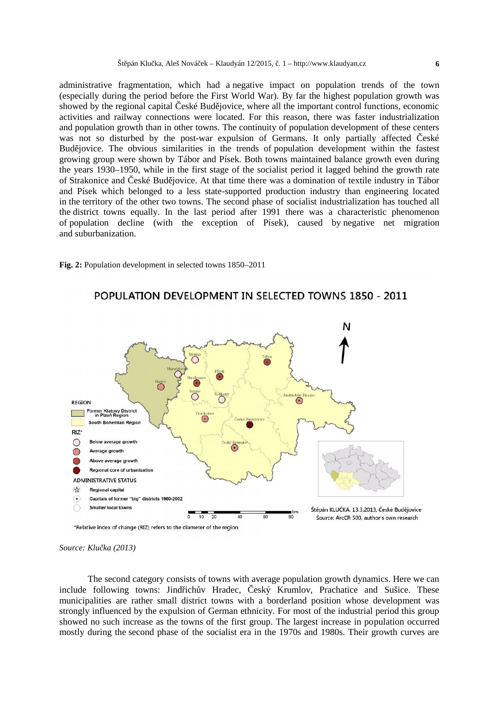administrative fragmentation, which had a negative impact on population trends of the town (especially during the period before the First World War). By far the highest population growth was showed by the regional capital eské Bud jovice, where all the important control functions, economic activities and railway connections were located. For this reason, there was faster industrialization and population growth than in other towns. The continuity of population development of these centers was not so disturbed by the post-war expulsion of Germans. It only partially affected eské Bud jovice. The obvious similarities in the trends of population development within the fastest growing group were shown by Tábor and Písek. Both towns maintained balance growth even during the years 1930–1950, while in the first stage of the socialist period it lagged behind the growth rate of Strakonice and eské Bud jovice. At that time there was a domination of textile industry in Tábor and Písek which belonged to a less state-supported production industry than engineering located in the territory of the other two towns. The second phase of socialist industrialization has touched all the district towns equally. In the last period after 1991 there was a characteristic phenomenon of population decline (with the exception of Písek), caused by negative net migration and suburbanization.





*Source: Klu ka (2013)* 

The second category consists of towns with average population growth dynamics. Here we can include following towns: Jind ich v Hradec, eský Krumlov, Prachatice and Sušice. These municipalities are rather small district towns with a borderland position whose development was strongly influenced by the expulsion of German ethnicity. For most of the industrial period this group showed no such increase as the towns of the first group. The largest increase in population occurred mostly during the second phase of the socialist era in the 1970s and 1980s. Their growth curves are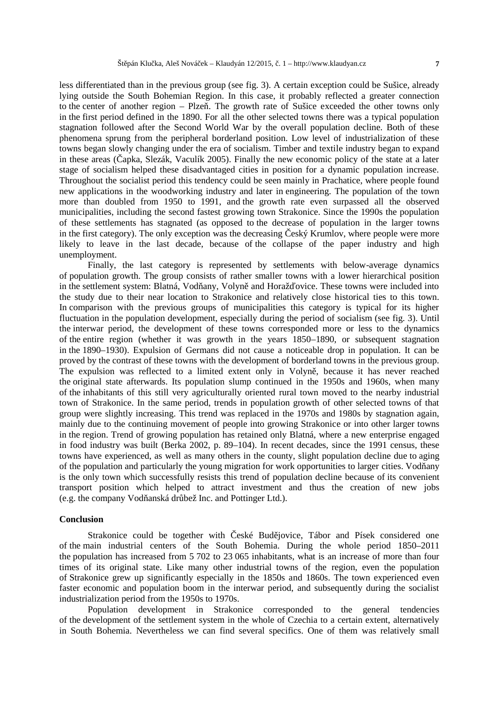less differentiated than in the previous group (see fig. 3). A certain exception could be Sušice, already lying outside the South Bohemian Region. In this case, it probably reflected a greater connection to the center of another region – Plze. The growth rate of Sušice exceeded the other towns only in the first period defined in the 1890. For all the other selected towns there was a typical population stagnation followed after the Second World War by the overall population decline. Both of these phenomena sprung from the peripheral borderland position. Low level of industrialization of these towns began slowly changing under the era of socialism. Timber and textile industry began to expand in these areas (equivalently applied  $\alpha$ ). Finally the new economic policy of the state at a later stage of socialism helped these disadvantaged cities in position for a dynamic population increase. Throughout the socialist period this tendency could be seen mainly in Prachatice, where people found new applications in the woodworking industry and later in engineering. The population of the town more than doubled from 1950 to 1991, and the growth rate even surpassed all the observed municipalities, including the second fastest growing town Strakonice. Since the 1990s the population of these settlements has stagnated (as opposed to the decrease of population in the larger towns in the first category). The only exception was the decreasing eský Krumlov, where people were more likely to leave in the last decade, because of the collapse of the paper industry and high unemployment.

Finally, the last category is represented by settlements with below-average dynamics of population growth. The group consists of rather smaller towns with a lower hierarchical position in the settlement system: Blatná, Vod any, Volyn and Horaž ovice. These towns were included into the study due to their near location to Strakonice and relatively close historical ties to this town. In comparison with the previous groups of municipalities this category is typical for its higher fluctuation in the population development, especially during the period of socialism (see fig. 3). Until the interwar period, the development of these towns corresponded more or less to the dynamics of the entire region (whether it was growth in the years 1850–1890, or subsequent stagnation in the 1890–1930). Expulsion of Germans did not cause a noticeable drop in population. It can be proved by the contrast of these towns with the development of borderland towns in the previous group. The expulsion was reflected to a limited extent only in Volyn, because it has never reached the original state afterwards. Its population slump continued in the 1950s and 1960s, when many of the inhabitants of this still very agriculturally oriented rural town moved to the nearby industrial town of Strakonice. In the same period, trends in population growth of other selected towns of that group were slightly increasing. This trend was replaced in the 1970s and 1980s by stagnation again, mainly due to the continuing movement of people into growing Strakonice or into other larger towns in the region. Trend of growing population has retained only Blatná, where a new enterprise engaged in food industry was built (Berka 2002, p. 89–104). In recent decades, since the 1991 census, these towns have experienced, as well as many others in the county, slight population decline due to aging of the population and particularly the young migration for work opportunities to larger cities. Vod any is the only town which successfully resists this trend of population decline because of its convenient transport position which helped to attract investment and thus the creation of new jobs (e.g. the company Vod anská dr bež Inc. and Pottinger Ltd.).

### **Conclusion**

Strakonice could be together with eské Bud jovice, Tábor and Písek considered one of the main industrial centers of the South Bohemia. During the whole period 1850–2011 the population has increased from 5 702 to 23 065 inhabitants, what is an increase of more than four times of its original state. Like many other industrial towns of the region, even the population of Strakonice grew up significantly especially in the 1850s and 1860s. The town experienced even faster economic and population boom in the interwar period, and subsequently during the socialist industrialization period from the 1950s to 1970s.

Population development in Strakonice corresponded to the general tendencies of the development of the settlement system in the whole of Czechia to a certain extent, alternatively in South Bohemia. Nevertheless we can find several specifics. One of them was relatively small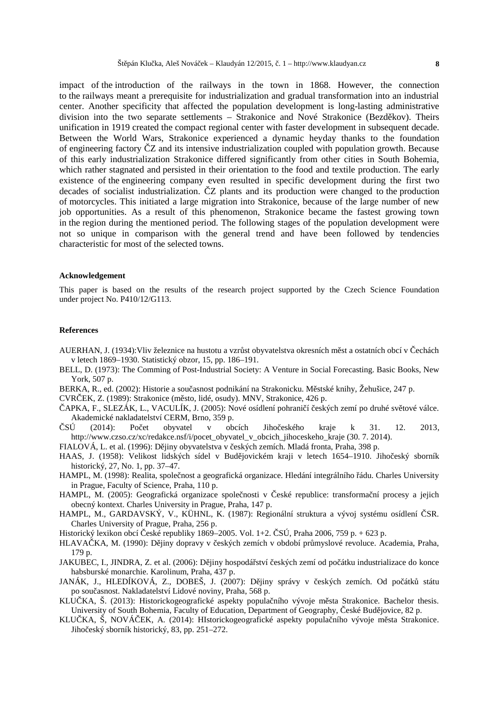impact of the introduction of the railways in the town in 1868. However, the connection to the railways meant a prerequisite for industrialization and gradual transformation into an industrial center. Another specificity that affected the population development is long-lasting administrative division into the two separate settlements - Strakonice and Nové Strakonice (Bezd kov). Theirs unification in 1919 created the compact regional center with faster development in subsequent decade. Between the World Wars, Strakonice experienced a dynamic heyday thanks to the foundation of engineering factory Z and its intensive industrialization coupled with population growth. Because of this early industrialization Strakonice differed significantly from other cities in South Bohemia, which rather stagnated and persisted in their orientation to the food and textile production. The early existence of the engineering company even resulted in specific development during the first two decades of socialist industrialization. Z plants and its production were changed to the production of motorcycles. This initiated a large migration into Strakonice, because of the large number of new job opportunities. As a result of this phenomenon, Strakonice became the fastest growing town in the region during the mentioned period. The following stages of the population development were not so unique in comparison with the general trend and have been followed by tendencies characteristic for most of the selected towns.

#### **Acknowledgement**

This paper is based on the results of the research project supported by the Czech Science Foundation under project No. P410/12/G113.

#### **References**

- AUERHAN, J. (1934): Vliv železnice na hustotu a vzrůst obyvatelstva okresních měst a ostatních obcí vechách v letech 1869–1930. Statistický obzor, 15, pp. 186–191.
- BELL, D. (1973): The Comming of Post-Industrial Society: A Venture in Social Forecasting. Basic Books, New York, 507 p.
- BERKA, R., ed. (2002): Historie a sou asnost podnikání na Strakonicku. M stské knihy, Žehušice, 247 p.

CVR EK, Z. (1989): Strakonice (m sto, lidé, osudy). MNV, Strakonice, 426 p.

- ČAPKA, F., SLEZÁK, L., VACULÍK, J. (2005): Nové osídlení pohraničí českých zemí po druhé světové válce. Akademické nakladatelství CERM, Brno, 359 p.
- SU (2014): Pote obyvatel v obcích Jihoteského kraje k 31. 12. 2013, http://www.czso.cz/xc/redakce.nsf/i/pocet\_obyvatel\_v\_obcich\_jihoceskeho\_kraje (30. 7. 2014).

FIALOVÁ, L. et al. (1996): D jiny obyvatelstva v eských zemích. Mladá fronta, Praha, 398 p.

- HAAS, J. (1958): Velikost lidských sídel v Bud jovickém kraji v letech 1654–1910. Jiho eský sborník historický, 27, No. 1, pp. 37–47.
- HAMPL, M. (1998): Realita, spole nost a geografická organizace. Hledání integrálního ádu. Charles University in Prague, Faculty of Science, Praha, 110 p.
- HAMPL, M. (2005): Geografická organizace spole nosti v eské republice: transforma ní procesy a jejich obecný kontext. Charles University in Prague, Praha, 147 p.
- HAMPL, M., GARDAVSKÝ, V., KÜHNL, K. (1987): Regionální struktura a vývoj systému osídlení SR. Charles University of Prague, Praha, 256 p.
- Historický lexikon obcí eské republiky 1869–2005. Vol. 1+2. SÚ, Praha 2006, 759 p. + 623 p.
- HLAVA KA, M. (1990): D jiny dopravy v eských zemích v období pr myslové revoluce. Academia, Praha, 179 p.
- JAKUBEC, I., JINDRA, Z. et al. (2006): D jiny hospodá ství eských zemí od po átku industrializace do konce habsburské monarchie. Karolinum, Praha, 437 p.
- JANÁK, J., HLEDÍKOVÁ, Z., DOBEŠ, J. (2007): D jiny správy v eských zemích. Od po átk státu po sou asnost. Nakladatelství Lidové noviny, Praha, 568 p.
- KLU KA, Š. (2013): Historickogeografické aspekty popula ního vývoje m sta Strakonice. Bachelor thesis. University of South Bohemia, Faculty of Education, Department of Geography, eské Bud jovice, 82 p.
- KLU<sub>KA</sub>, Š, NOVÁ EK, A. (2014): HIstorickogeografické aspekty popula ního vývoje m sta Strakonice. Jiho eský sborník historický, 83, pp. 251–272.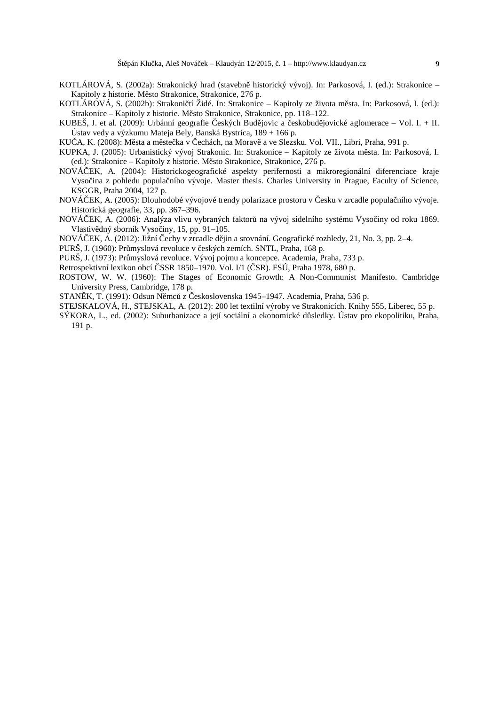- KOTLÁROVÁ, S. (2002a): Strakonický hrad (stavební historický vývoj). In: Parkosová, I. (ed.): Strakonice Kapitoly z historie. M sto Strakonice, Strakonice, 276 p.
- KOTLÁROVÁ, S. (2002b): Strakoni tí Židé. In: Strakonice Kapitoly ze života m sta. In: Parkosová, I. (ed.): Strakonice – Kapitoly z historie. M sto Strakonice, Strakonice, pp. 118–122.
- KUBEŠ, J. et al. (2009): Urbánní geografie eských Bud jovic a eskobud jovické aglomerace Vol. I. + II. Ústav vedy a výzkumu Mateja Bely, Banská Bystrica, 189 + 166 p.
- KU<sub>A</sub>, K. (2008): M<sub>sta a městečka v echách, na Moravě a ve Slezsku. Vol. VII., Libri, Praha, 991 p.</sub>
- KUPKA, J. (2005): Urbanistický vývoj Strakonic. In: Strakonice Kapitoly ze života města. In: Parkosová, I. (ed.): Strakonice – Kapitoly z historie. M sto Strakonice, Strakonice, 276 p.
- NOVÁČEK, A. (2004): Historickogeografické aspekty perifernosti a mikroregionální diferenciace kraje Vyso ina z pohledu popula ního vývoje. Master thesis. Charles University in Prague, Faculty of Science, KSGGR, Praha 2004, 127 p.
- NOVÁ EK, A. (2005): Dlouhodobé vývojové trendy polarizace prostoru v esku v zrcadle popula ního vývoje. Historická geografie, 33, pp. 367–396.
- NOVÁ EK, A. (2006): Analýza vlivu vybraných faktor na vývoj sídelního systému Vyso iny od roku 1869. Vlastiv dný sborník Vyso iny, 15, pp. 91–105.
- NOVÁ EK, A. (2012): Jižní echy v zrcadle d jin a srovnání. Geografické rozhledy, 21, No. 3, pp. 2–4.

PURŠ, J. (1960): Pr myslová revoluce v eských zemích. SNTL, Praha, 168 p.

PURŠ, J. (1973): Pr myslová revoluce. Vývoj pojmu a koncepce. Academia, Praha, 733 p.

Retrospektivní lexikon obcí SSR 1850–1970. Vol. I/1 (SR). FSÚ, Praha 1978, 680 p.

- ROSTOW, W. W. (1960): The Stages of Economic Growth: A Non-Communist Manifesto. Cambridge University Press, Cambridge, 178 p.
- STAN K, T. (1991): Odsun N mc z eskoslovenska 1945–1947. Academia, Praha, 536 p.
- STEJSKALOVÁ, H., STEJSKAL, A. (2012): 200 let textilní výroby ve Strakonicích. Knihy 555, Liberec, 55 p.
- SÝKORA, L., ed. (2002): Suburbanizace a její sociální a ekonomické d sledky. Ústav pro ekopolitiku, Praha, 191 p.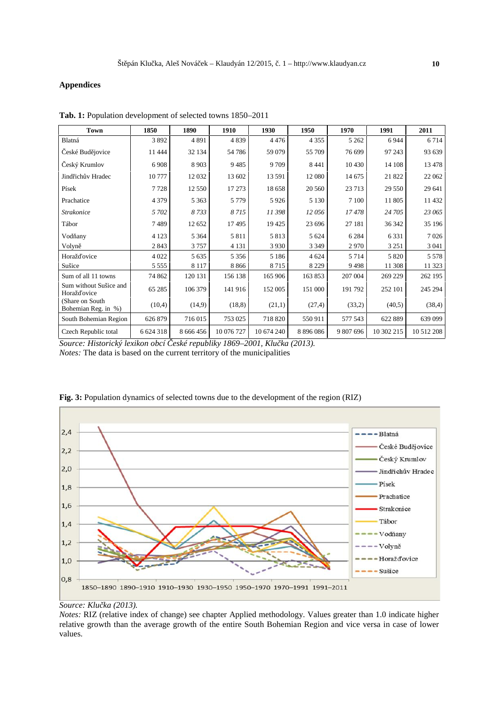### **Appendices**

| Town                                   | 1850        | 1890        | 1910       | 1930       | 1950          | 1970      | 1991       | 2011       |
|----------------------------------------|-------------|-------------|------------|------------|---------------|-----------|------------|------------|
| Blatná                                 | 3892        | 4 8 9 1     | 4 8 3 9    | 4476       | 4 3 5 5       | 5 2 6 2   | 6944       | 6 7 1 4    |
| eské Bud jovice                        | 11 4 4 4    | 32 134      | 54 78 6    | 59 079     | 55 709        | 76 699    | 97 243     | 93 639     |
| eský Krumlov                           | 6908        | 8 9 0 3     | 9485       | 9709       | 8441          | 10 4 30   | 14 108     | 13 478     |
| Jind ich v Hradec                      | 10777       | 12 032      | 13 602     | 13 591     | 12 080        | 14 675    | 21 822     | 22 062     |
| Písek                                  | 7728        | 12 550      | 17 273     | 18 658     | 20 560        | 23 713    | 29 550     | 29 641     |
| Prachatice                             | 4 3 7 9     | 5 3 6 3     | 5 7 7 9    | 5926       | 5 1 3 0       | 7 100     | 11 805     | 11 432     |
| <b>Strakonice</b>                      | 5 702       | 8733        | 8715       | 11 398     | 12 056        | 17478     | 24 705     | 23 065     |
| Tábor                                  | 7489        | 12 652      | 17495      | 19 4 25    | 23 696        | 27 181    | 36 342     | 35 196     |
| Vod any                                | 4 1 2 3     | 5 3 6 4     | 5811       | 5813       | 5 6 24        | 6 2 8 4   | 6 3 3 1    | 7026       |
| Volyn                                  | 2843        | 3757        | 4 1 3 1    | 3 9 3 0    | 3 3 4 9       | 2970      | 3 2 5 1    | 3 0 4 1    |
| Horaž ovice                            | 4 0 2 2     | 5 6 3 5     | 5 3 5 6    | 5 1 8 6    | 4 6 24        | 5 7 1 4   | 5 8 2 0    | 5 5 7 8    |
| Sušice                                 | 5 5 5 5 5   | 8 1 1 7     | 8866       | 8715       | 8 2 2 9       | 9498      | 11 308     | 11 323     |
| Sum of all 11 towns                    | 74 862      | 120 131     | 156 138    | 165 906    | 163 853       | 207 004   | 269 229    | 262 195    |
| Sum without Sušice and<br>Horaž ovice  | 65 285      | 106 379     | 141 916    | 152 005    | 151 000       | 191 792   | 252 101    | 245 294    |
| (Share on South<br>Bohemian Reg. in %) | (10,4)      | (14,9)      | (18, 8)    | (21,1)     | (27,4)        | (33,2)    | (40,5)     | (38,4)     |
| South Bohemian Region                  | 626 879     | 716 015     | 753 025    | 718 820    | 550 911       | 577 543   | 622 889    | 639 099    |
| Czech Republic total                   | 6 6 24 3 18 | 8 6 6 4 5 6 | 10 076 727 | 10 674 240 | 8 8 9 6 0 8 6 | 9 807 696 | 10 302 215 | 10 512 208 |

**Tab. 1:** Population development of selected towns 1850–2011

*Source: Historický lexikon obcí České republiky 1869–2001, Klučka (2013). Notes:* The data is based on the current territory of the municipalities



**Fig. 3:** Population dynamics of selected towns due to the development of the region (RIZ)

*Notes:* RIZ (relative index of change) see chapter Applied methodology. Values greater than 1.0 indicate higher relative growth than the average growth of the entire South Bohemian Region and vice versa in case of lower values.

*Source: Klu ka (2013).*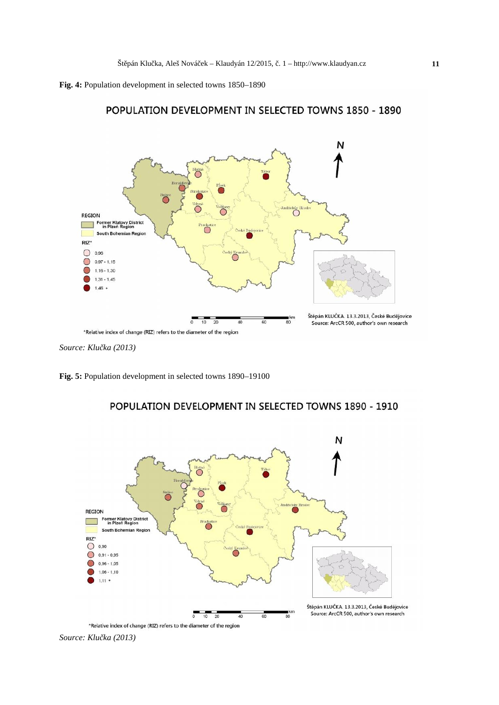POPULATION DEVELOPMENT IN SELECTED TOWNS 1850 - 1890





*Source: Klu ka (2013)* 

**Fig. 5:** Population development in selected towns 1890–19100



# POPULATION DEVELOPMENT IN SELECTED TOWNS 1890 - 1910

\*Relative index of change (RIZ) refers to the diameter of the region

*Source: Klu ka (2013)*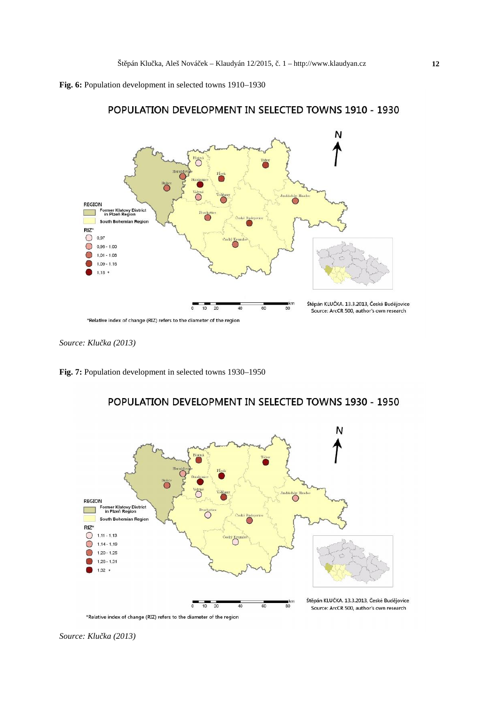

# POPULATION DEVELOPMENT IN SELECTED TOWNS 1910 - 1930

*Source: Klu ka (2013)* 

**Fig. 7:** Population development in selected towns 1930–1950



# POPULATION DEVELOPMENT IN SELECTED TOWNS 1930 - 1950

\*Relative index of change (RIZ) refers to the diameter of the region

*Source: Klu ka (2013)*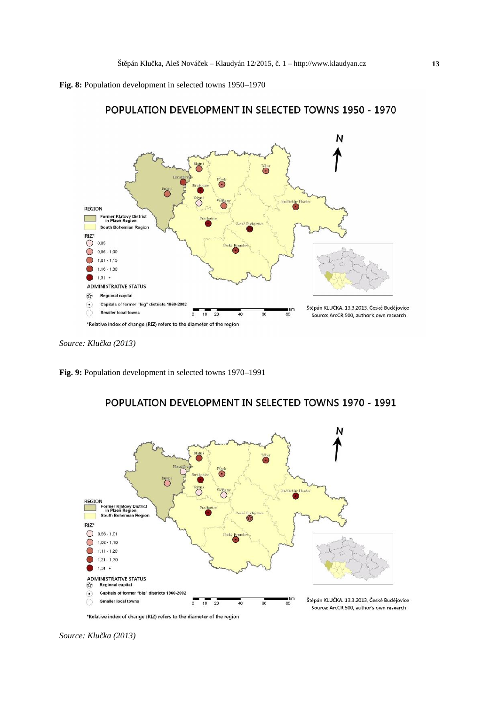



# POPULATION DEVELOPMENT IN SELECTED TOWNS 1950 - 1970

*Source: Klu ka (2013)* 

**Fig. 9:** Population development in selected towns 1970–1991



# POPULATION DEVELOPMENT IN SELECTED TOWNS 1970 - 1991

Source: ArcCR 500, author's own research

<sup>\*</sup>Relative index of change (RIZ) refers to the diameter of the region